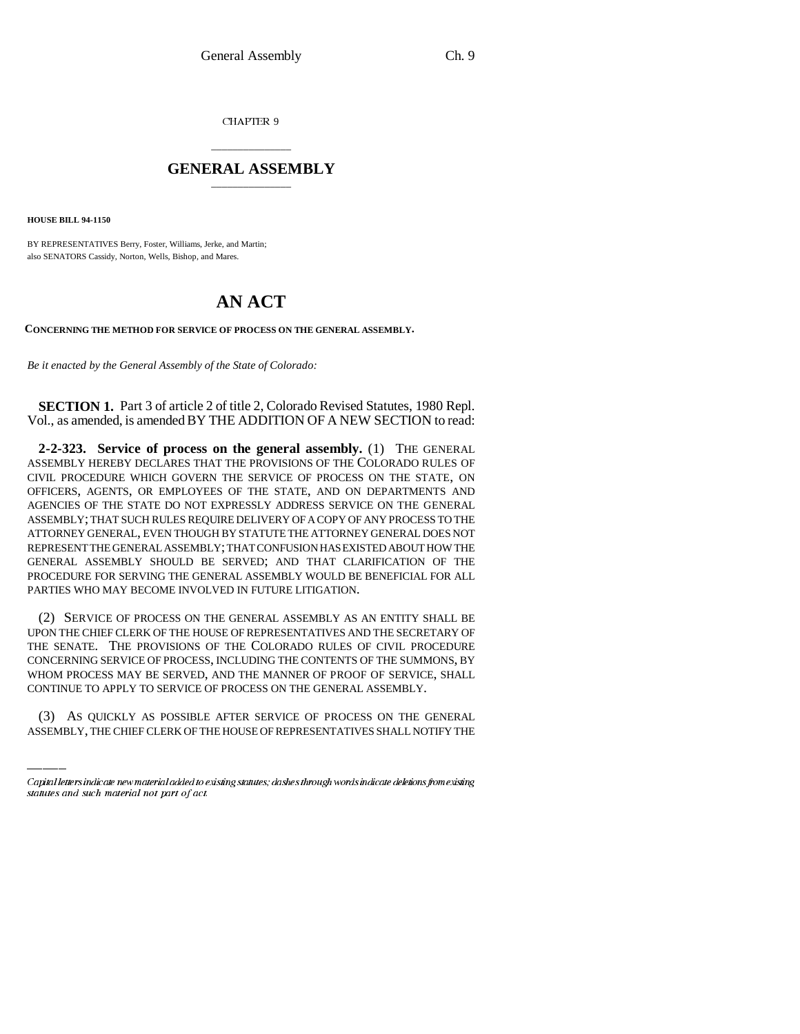CHAPTER 9

## \_\_\_\_\_\_\_\_\_\_\_\_\_\_\_ **GENERAL ASSEMBLY** \_\_\_\_\_\_\_\_\_\_\_\_\_\_\_

**HOUSE BILL 94-1150**

BY REPRESENTATIVES Berry, Foster, Williams, Jerke, and Martin; also SENATORS Cassidy, Norton, Wells, Bishop, and Mares.

## **AN ACT**

**CONCERNING THE METHOD FOR SERVICE OF PROCESS ON THE GENERAL ASSEMBLY.**

*Be it enacted by the General Assembly of the State of Colorado:*

**SECTION 1.** Part 3 of article 2 of title 2, Colorado Revised Statutes, 1980 Repl. Vol., as amended, is amended BY THE ADDITION OF A NEW SECTION to read:

**2-2-323. Service of process on the general assembly.** (1) THE GENERAL ASSEMBLY HEREBY DECLARES THAT THE PROVISIONS OF THE COLORADO RULES OF CIVIL PROCEDURE WHICH GOVERN THE SERVICE OF PROCESS ON THE STATE, ON OFFICERS, AGENTS, OR EMPLOYEES OF THE STATE, AND ON DEPARTMENTS AND AGENCIES OF THE STATE DO NOT EXPRESSLY ADDRESS SERVICE ON THE GENERAL ASSEMBLY; THAT SUCH RULES REQUIRE DELIVERY OF A COPY OF ANY PROCESS TO THE ATTORNEY GENERAL, EVEN THOUGH BY STATUTE THE ATTORNEY GENERAL DOES NOT REPRESENT THE GENERAL ASSEMBLY; THAT CONFUSION HAS EXISTED ABOUT HOW THE GENERAL ASSEMBLY SHOULD BE SERVED; AND THAT CLARIFICATION OF THE PROCEDURE FOR SERVING THE GENERAL ASSEMBLY WOULD BE BENEFICIAL FOR ALL PARTIES WHO MAY BECOME INVOLVED IN FUTURE LITIGATION.

WHOM PROCESS MAY BE SERVED, AND THE MANNER OF PROOF OF SERVICE, SHALL (2) SERVICE OF PROCESS ON THE GENERAL ASSEMBLY AS AN ENTITY SHALL BE UPON THE CHIEF CLERK OF THE HOUSE OF REPRESENTATIVES AND THE SECRETARY OF THE SENATE. THE PROVISIONS OF THE COLORADO RULES OF CIVIL PROCEDURE CONCERNING SERVICE OF PROCESS, INCLUDING THE CONTENTS OF THE SUMMONS, BY CONTINUE TO APPLY TO SERVICE OF PROCESS ON THE GENERAL ASSEMBLY.

(3) AS QUICKLY AS POSSIBLE AFTER SERVICE OF PROCESS ON THE GENERAL ASSEMBLY, THE CHIEF CLERK OF THE HOUSE OF REPRESENTATIVES SHALL NOTIFY THE

Capital letters indicate new material added to existing statutes; dashes through words indicate deletions from existing statutes and such material not part of act.